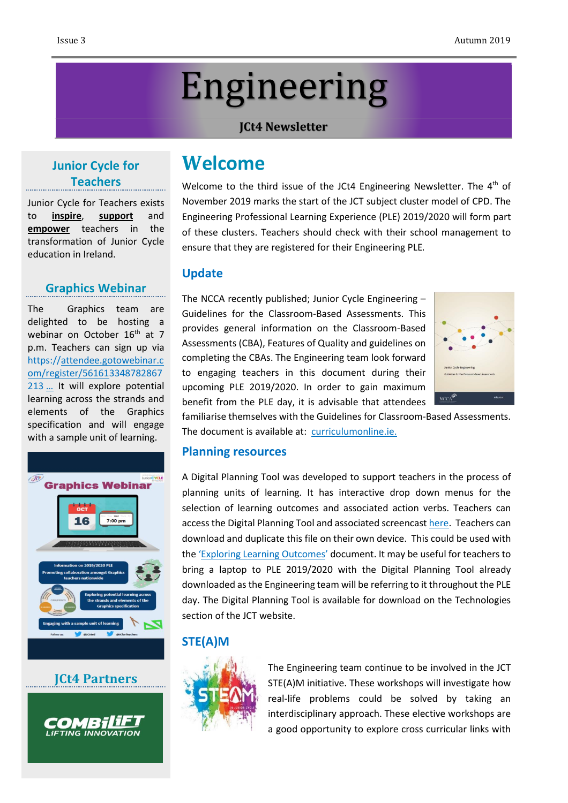# Engineering

#### **JCt4 Newsletter**

### **Junior Cycle for Teachers**

Junior Cycle for Teachers exists to **inspire**, **support** and **empower** teachers in the transformation of Junior Cycle education in Ireland.

#### **Graphics Webinar**

The Graphics team are delighted to be hosting a webinar on October 16<sup>th</sup> at 7 p.m. Teachers can sign up via [https://attendee.gotowebinar.c](https://t.co/Iaq5w3QNKt) [om/register/561613348782867](https://t.co/Iaq5w3QNKt) [213](https://t.co/Iaq5w3QNKt) … It will explore potential learning across the strands and elements of the Graphics specification and will engage with a sample unit of learning.



**JCt4 Partners**



# **Welcome**

Welcome to the third issue of the JCt4 Engineering Newsletter. The  $4^\text{th}$  of November 2019 marks the start of the JCT subject cluster model of CPD. The Engineering Professional Learning Experience (PLE) 2019/2020 will form part of these clusters. Teachers should check with their school management to ensure that they are registered for their Engineering PLE.

#### **Update**

The NCCA recently published; Junior Cycle Engineering – Guidelines for the Classroom-Based Assessments. This provides general information on the Classroom-Based Assessments (CBA), Features of Quality and guidelines on completing the CBAs. The Engineering team look forward to engaging teachers in this document during their upcoming PLE 2019/2020. In order to gain maximum benefit from the PLE day, it is advisable that attendees



familiarise themselves with the Guidelines for Classroom-Based Assessments. The document is available at: [curriculumonline.ie.](https://curriculumonline.ie/Junior-cycle/Junior-Cycle-Subjects/Engineering)

#### **Planning resources**

A Digital Planning Tool was developed to support teachers in the process of planning units of learning. It has interactive drop down menus for the selection of learning outcomes and associated action verbs. Teachers can access the Digital Planning Tool and associated screencast [here.](https://www.jct.ie/technologies/planning_engineering) Teachers can download and duplicate this file on their own device. This could be used with the 'Exploring Learning [Outcomes](https://drive.google.com/file/d/1v8deDQzNZ1pH9iJEQdRfqGFMrsFVq-S8/view)' document. It may be useful for teachers to bring a laptop to PLE 2019/2020 with the Digital Planning Tool already downloaded asthe Engineering team will be referring to it throughout the PLE day. The Digital Planning Tool is available for download on the Technologies section of the JCT website.

#### **STE(A)M**



The Engineering team continue to be involved in the JCT STE(A)M initiative. These workshops will investigate how real-life problems could be solved by taking an interdisciplinary approach. These elective workshops are a good opportunity to explore cross curricular links with